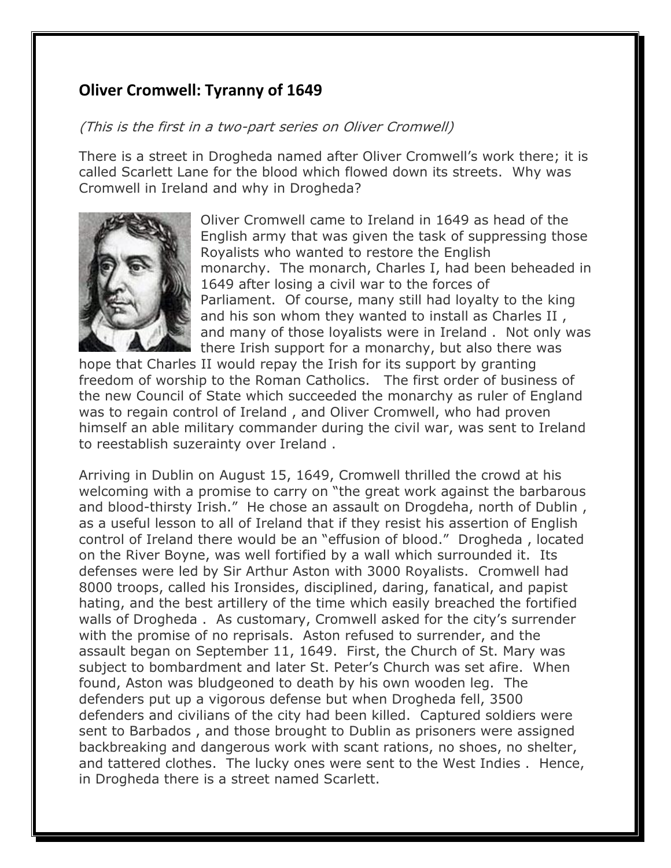## **Oliver Cromwell: Tyranny of 1649**

## (This is the first in a two-part series on Oliver Cromwell)

There is a street in Drogheda named after Oliver Cromwell's work there; it is called Scarlett Lane for the blood which flowed down its streets. Why was Cromwell in Ireland and why in Drogheda?



Oliver Cromwell came to Ireland in 1649 as head of the English army that was given the task of suppressing those Royalists who wanted to restore the English monarchy. The monarch, Charles I, had been beheaded in 1649 after losing a civil war to the forces of Parliament. Of course, many still had loyalty to the king and his son whom they wanted to install as Charles II , and many of those loyalists were in Ireland . Not only was there Irish support for a monarchy, but also there was

hope that Charles II would repay the Irish for its support by granting freedom of worship to the Roman Catholics. The first order of business of the new Council of State which succeeded the monarchy as ruler of England was to regain control of Ireland , and Oliver Cromwell, who had proven himself an able military commander during the civil war, was sent to Ireland to reestablish suzerainty over Ireland .

Arriving in Dublin on August 15, 1649, Cromwell thrilled the crowd at his welcoming with a promise to carry on "the great work against the barbarous and blood-thirsty Irish." He chose an assault on Drogdeha, north of Dublin, as a useful lesson to all of Ireland that if they resist his assertion of English control of Ireland there would be an "effusion of blood." Drogheda , located on the River Boyne, was well fortified by a wall which surrounded it. Its defenses were led by Sir Arthur Aston with 3000 Royalists. Cromwell had 8000 troops, called his Ironsides, disciplined, daring, fanatical, and papist hating, and the best artillery of the time which easily breached the fortified walls of Drogheda . As customary, Cromwell asked for the city's surrender with the promise of no reprisals. Aston refused to surrender, and the assault began on September 11, 1649. First, the Church of St. Mary was subject to bombardment and later St. Peter's Church was set afire. When found, Aston was bludgeoned to death by his own wooden leg. The defenders put up a vigorous defense but when Drogheda fell, 3500 defenders and civilians of the city had been killed. Captured soldiers were sent to Barbados , and those brought to Dublin as prisoners were assigned backbreaking and dangerous work with scant rations, no shoes, no shelter, and tattered clothes. The lucky ones were sent to the West Indies . Hence, in Drogheda there is a street named Scarlett.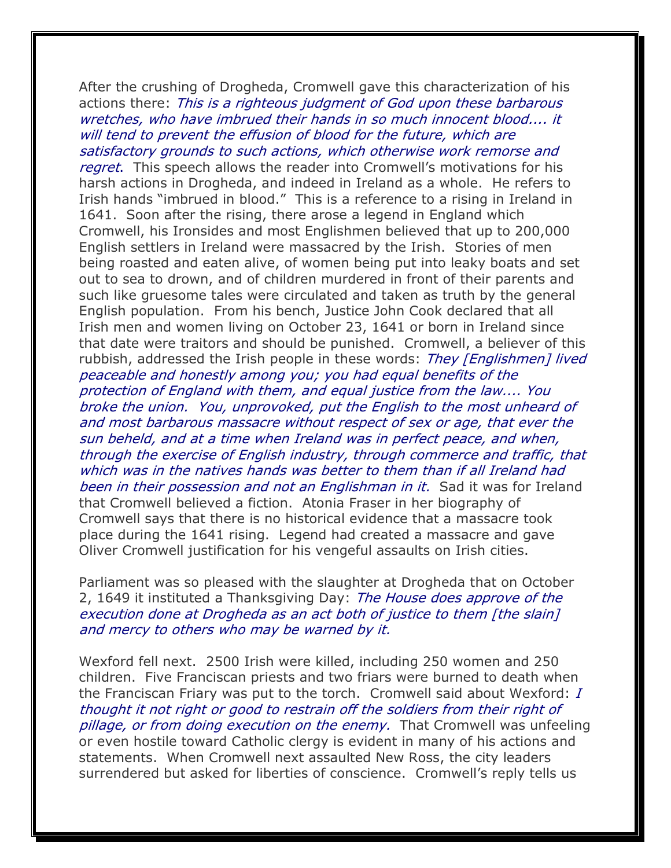After the crushing of Drogheda, Cromwell gave this characterization of his actions there: This is a righteous judgment of God upon these barbarous wretches, who have imbrued their hands in so much innocent blood.... it will tend to prevent the effusion of blood for the future, which are

satisfactory grounds to such actions, which otherwise work remorse and regret. This speech allows the reader into Cromwell's motivations for his harsh actions in Drogheda, and indeed in Ireland as a whole. He refers to Irish hands "imbrued in blood." This is a reference to a rising in Ireland in 1641. Soon after the rising, there arose a legend in England which Cromwell, his Ironsides and most Englishmen believed that up to 200,000 English settlers in Ireland were massacred by the Irish. Stories of men being roasted and eaten alive, of women being put into leaky boats and set out to sea to drown, and of children murdered in front of their parents and such like gruesome tales were circulated and taken as truth by the general English population. From his bench, Justice John Cook declared that all Irish men and women living on October 23, 1641 or born in Ireland since that date were traitors and should be punished. Cromwell, a believer of this rubbish, addressed the Irish people in these words: They [Englishmen] lived peaceable and honestly among you; you had equal benefits of the protection of England with them, and equal justice from the law.... You broke the union. You, unprovoked, put the English to the most unheard of and most barbarous massacre without respect of sex or age, that ever the sun beheld, and at a time when Ireland was in perfect peace, and when, through the exercise of English industry, through commerce and traffic, that which was in the natives hands was better to them than if all Ireland had been in their possession and not an Englishman in it. Sad it was for Ireland that Cromwell believed a fiction. Atonia Fraser in her biography of Cromwell says that there is no historical evidence that a massacre took place during the 1641 rising. Legend had created a massacre and gave Oliver Cromwell justification for his vengeful assaults on Irish cities.

Parliament was so pleased with the slaughter at Drogheda that on October 2, 1649 it instituted a Thanksgiving Day: The House does approve of the execution done at Drogheda as an act both of justice to them [the slain] and mercy to others who may be warned by it.

Wexford fell next. 2500 Irish were killed, including 250 women and 250 children. Five Franciscan priests and two friars were burned to death when the Franciscan Friary was put to the torch. Cromwell said about Wexford: I thought it not right or good to restrain off the soldiers from their right of pillage, or from doing execution on the enemy. That Cromwell was unfeeling or even hostile toward Catholic clergy is evident in many of his actions and statements. When Cromwell next assaulted New Ross, the city leaders surrendered but asked for liberties of conscience. Cromwell's reply tells us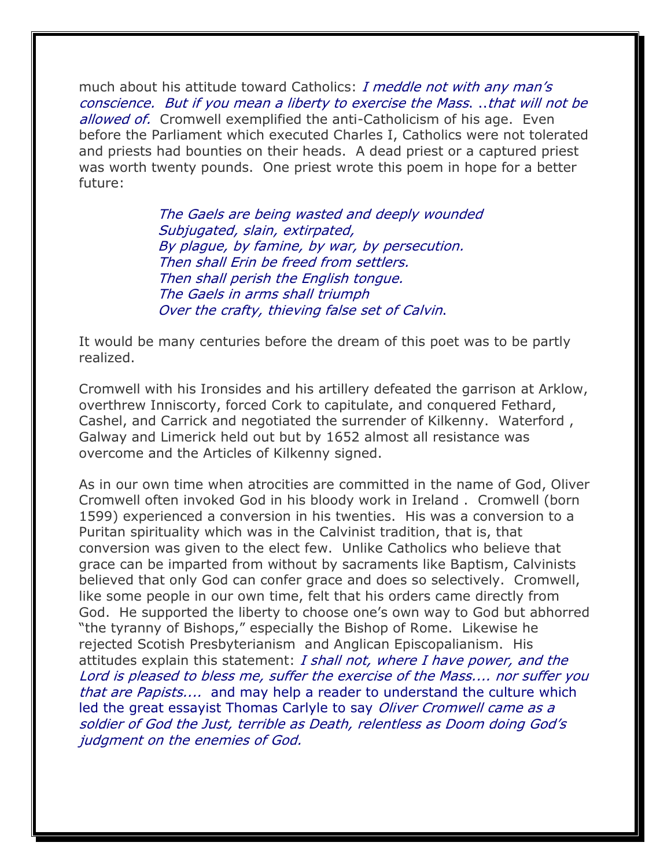much about his attitude toward Catholics: I meddle not with any man's conscience. But if you mean a liberty to exercise the Mass. ..that will not be allowed of. Cromwell exemplified the anti-Catholicism of his age. Even before the Parliament which executed Charles I, Catholics were not tolerated and priests had bounties on their heads. A dead priest or a captured priest was worth twenty pounds. One priest wrote this poem in hope for a better future:

> The Gaels are being wasted and deeply wounded Subjugated, slain, extirpated, By plague, by famine, by war, by persecution. Then shall Erin be freed from settlers. Then shall perish the English tongue. The Gaels in arms shall triumph Over the crafty, thieving false set of Calvin.

It would be many centuries before the dream of this poet was to be partly realized.

Cromwell with his Ironsides and his artillery defeated the garrison at Arklow, overthrew Inniscorty, forced Cork to capitulate, and conquered Fethard, Cashel, and Carrick and negotiated the surrender of Kilkenny. Waterford , Galway and Limerick held out but by 1652 almost all resistance was overcome and the Articles of Kilkenny signed.

As in our own time when atrocities are committed in the name of God, Oliver Cromwell often invoked God in his bloody work in Ireland . Cromwell (born 1599) experienced a conversion in his twenties. His was a conversion to a Puritan spirituality which was in the Calvinist tradition, that is, that conversion was given to the elect few. Unlike Catholics who believe that grace can be imparted from without by sacraments like Baptism, Calvinists believed that only God can confer grace and does so selectively. Cromwell, like some people in our own time, felt that his orders came directly from God. He supported the liberty to choose one's own way to God but abhorred "the tyranny of Bishops," especially the Bishop of Rome. Likewise he rejected Scotish Presbyterianism and Anglican Episcopalianism. His attitudes explain this statement: I shall not, where I have power, and the Lord is pleased to bless me, suffer the exercise of the Mass.... nor suffer you that are Papists.... and may help a reader to understand the culture which led the great essayist Thomas Carlyle to say *Oliver Cromwell came as a* soldier of God the Just, terrible as Death, relentless as Doom doing God's judgment on the enemies of God.